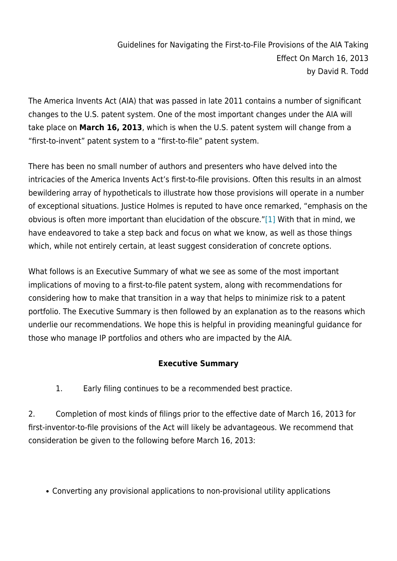The America Invents Act (AIA) that was passed in late 2011 contains a number of significant changes to the U.S. patent system. One of the most important changes under the AIA will take place on **March 16, 2013**, which is when the U.S. patent system will change from a "first-to-invent" patent system to a "first-to-file" patent system.

There has been no small number of authors and presenters who have delved into the intricacies of the America Invents Act's first-to-file provisions. Often this results in an almost bewildering array of hypotheticals to illustrate how those provisions will operate in a number of exceptional situations. Justice Holmes is reputed to have once remarked, "emphasis on the obvious is often more important than elucidation of the obscure."[\[1\]](http://www.wnlaw.com/ip-law-news/guidelines-for-navigating-the-first-to-file-provisions-of-the-aia-taking-effect-on-march-16-2013/#_ftn1) With that in mind, we have endeavored to take a step back and focus on what we know, as well as those things which, while not entirely certain, at least suggest consideration of concrete options.

What follows is an Executive Summary of what we see as some of the most important implications of moving to a first-to-file patent system, along with recommendations for considering how to make that transition in a way that helps to minimize risk to a patent portfolio. The Executive Summary is then followed by an explanation as to the reasons which underlie our recommendations. We hope this is helpful in providing meaningful guidance for those who manage IP portfolios and others who are impacted by the AIA.

#### **Executive Summary**

1. Early filing continues to be a recommended best practice.

2. Completion of most kinds of filings prior to the effective date of March 16, 2013 for first-inventor-to-file provisions of the Act will likely be advantageous. We recommend that consideration be given to the following before March 16, 2013:

Converting any provisional applications to non-provisional utility applications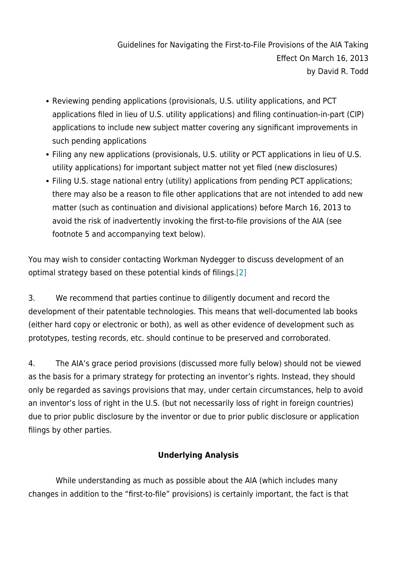- Reviewing pending applications (provisionals, U.S. utility applications, and PCT applications filed in lieu of U.S. utility applications) and filing continuation-in-part (CIP) applications to include new subject matter covering any significant improvements in such pending applications
- Filing any new applications (provisionals, U.S. utility or PCT applications in lieu of U.S. utility applications) for important subject matter not yet filed (new disclosures)
- Filing U.S. stage national entry (utility) applications from pending PCT applications; there may also be a reason to file other applications that are not intended to add new matter (such as continuation and divisional applications) before March 16, 2013 to avoid the risk of inadvertently invoking the first-to-file provisions of the AIA (see footnote 5 and accompanying text below).

You may wish to consider contacting Workman Nydegger to discuss development of an optimal strategy based on these potential kinds of filings[.\[2\]](http://www.wnlaw.com/ip-law-news/guidelines-for-navigating-the-first-to-file-provisions-of-the-aia-taking-effect-on-march-16-2013/#_ftn2)

3. We recommend that parties continue to diligently document and record the development of their patentable technologies. This means that well-documented lab books (either hard copy or electronic or both), as well as other evidence of development such as prototypes, testing records, etc. should continue to be preserved and corroborated.

4. The AIA's grace period provisions (discussed more fully below) should not be viewed as the basis for a primary strategy for protecting an inventor's rights. Instead, they should only be regarded as savings provisions that may, under certain circumstances, help to avoid an inventor's loss of right in the U.S. (but not necessarily loss of right in foreign countries) due to prior public disclosure by the inventor or due to prior public disclosure or application filings by other parties.

### **Underlying Analysis**

 While understanding as much as possible about the AIA (which includes many changes in addition to the "first-to-file" provisions) is certainly important, the fact is that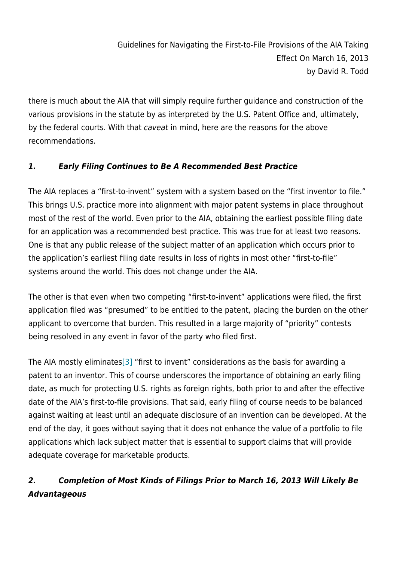there is much about the AIA that will simply require further guidance and construction of the various provisions in the statute by as interpreted by the U.S. Patent Office and, ultimately, by the federal courts. With that caveat in mind, here are the reasons for the above recommendations.

### *1. Early Filing Continues to Be A Recommended Best Practice*

The AIA replaces a "first-to-invent" system with a system based on the "first inventor to file." This brings U.S. practice more into alignment with major patent systems in place throughout most of the rest of the world. Even prior to the AIA, obtaining the earliest possible filing date for an application was a recommended best practice. This was true for at least two reasons. One is that any public release of the subject matter of an application which occurs prior to the application's earliest filing date results in loss of rights in most other "first-to-file" systems around the world. This does not change under the AIA.

The other is that even when two competing "first-to-invent" applications were filed, the first application filed was "presumed" to be entitled to the patent, placing the burden on the other applicant to overcome that burden. This resulted in a large majority of "priority" contests being resolved in any event in favor of the party who filed first.

The AIA mostly eliminate[s\[3\]](http://www.wnlaw.com/ip-law-news/guidelines-for-navigating-the-first-to-file-provisions-of-the-aia-taking-effect-on-march-16-2013/#_ftn3) "first to invent" considerations as the basis for awarding a patent to an inventor. This of course underscores the importance of obtaining an early filing date, as much for protecting U.S. rights as foreign rights, both prior to and after the effective date of the AIA's first-to-file provisions. That said, early filing of course needs to be balanced against waiting at least until an adequate disclosure of an invention can be developed. At the end of the day, it goes without saying that it does not enhance the value of a portfolio to file applications which lack subject matter that is essential to support claims that will provide adequate coverage for marketable products.

# *2. Completion of Most Kinds of Filings Prior to March 16, 2013 Will Likely Be Advantageous*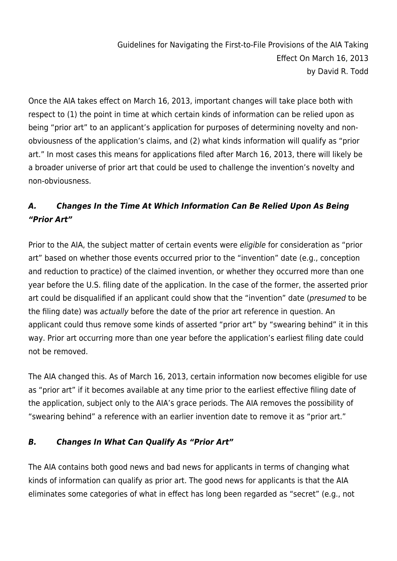Once the AIA takes effect on March 16, 2013, important changes will take place both with respect to (1) the point in time at which certain kinds of information can be relied upon as being "prior art" to an applicant's application for purposes of determining novelty and nonobviousness of the application's claims, and (2) what kinds information will qualify as "prior art." In most cases this means for applications filed after March 16, 2013, there will likely be a broader universe of prior art that could be used to challenge the invention's novelty and non-obviousness.

## *A. Changes In the Time At Which Information Can Be Relied Upon As Being "Prior Art"*

Prior to the AIA, the subject matter of certain events were eligible for consideration as "prior art" based on whether those events occurred prior to the "invention" date (e.g., conception and reduction to practice) of the claimed invention, or whether they occurred more than one year before the U.S. filing date of the application. In the case of the former, the asserted prior art could be disqualified if an applicant could show that the "invention" date (presumed to be the filing date) was actually before the date of the prior art reference in question. An applicant could thus remove some kinds of asserted "prior art" by "swearing behind" it in this way. Prior art occurring more than one year before the application's earliest filing date could not be removed.

The AIA changed this. As of March 16, 2013, certain information now becomes eligible for use as "prior art" if it becomes available at any time prior to the earliest effective filing date of the application, subject only to the AIA's grace periods. The AIA removes the possibility of "swearing behind" a reference with an earlier invention date to remove it as "prior art."

### *B. Changes In What Can Qualify As "Prior Art"*

The AIA contains both good news and bad news for applicants in terms of changing what kinds of information can qualify as prior art. The good news for applicants is that the AIA eliminates some categories of what in effect has long been regarded as "secret" (e.g., not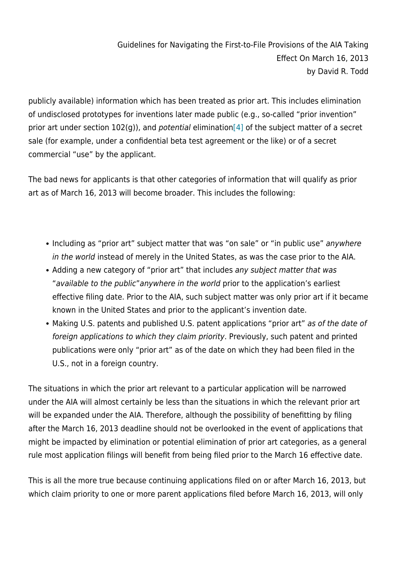publicly available) information which has been treated as prior art. This includes elimination of undisclosed prototypes for inventions later made public (e.g., so-called "prior invention" prior art under section 102(g)), and potential elimination[\[4\]](http://www.wnlaw.com/ip-law-news/guidelines-for-navigating-the-first-to-file-provisions-of-the-aia-taking-effect-on-march-16-2013/#_ftn4) of the subject matter of a secret sale (for example, under a confidential beta test agreement or the like) or of a secret commercial "use" by the applicant.

The bad news for applicants is that other categories of information that will qualify as prior art as of March 16, 2013 will become broader. This includes the following:

- Including as "prior art" subject matter that was "on sale" or "in public use" anywhere in the world instead of merely in the United States, as was the case prior to the AIA.
- Adding a new category of "prior art" that includes any subject matter that was "available to the public"anywhere in the world prior to the application's earliest effective filing date. Prior to the AIA, such subject matter was only prior art if it became known in the United States and prior to the applicant's invention date.
- Making U.S. patents and published U.S. patent applications "prior art" as of the date of foreign applications to which they claim priority. Previously, such patent and printed publications were only "prior art" as of the date on which they had been filed in the U.S., not in a foreign country.

The situations in which the prior art relevant to a particular application will be narrowed under the AIA will almost certainly be less than the situations in which the relevant prior art will be expanded under the AIA. Therefore, although the possibility of benefitting by filing after the March 16, 2013 deadline should not be overlooked in the event of applications that might be impacted by elimination or potential elimination of prior art categories, as a general rule most application filings will benefit from being filed prior to the March 16 effective date.

This is all the more true because continuing applications filed on or after March 16, 2013, but which claim priority to one or more parent applications filed before March 16, 2013, will only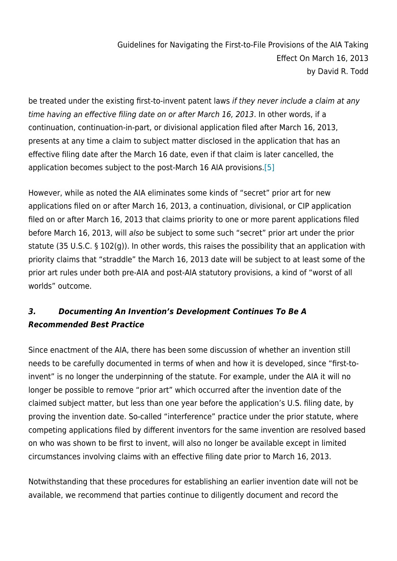be treated under the existing first-to-invent patent laws if they never include a claim at any time having an effective filing date on or after March 16, 2013. In other words, if a continuation, continuation-in-part, or divisional application filed after March 16, 2013, presents at any time a claim to subject matter disclosed in the application that has an effective filing date after the March 16 date, even if that claim is later cancelled, the application becomes subject to the post-March 16 AIA provisions[.\[5\]](http://www.wnlaw.com/ip-law-news/guidelines-for-navigating-the-first-to-file-provisions-of-the-aia-taking-effect-on-march-16-2013/#_ftn5)

However, while as noted the AIA eliminates some kinds of "secret" prior art for new applications filed on or after March 16, 2013, a continuation, divisional, or CIP application filed on or after March 16, 2013 that claims priority to one or more parent applications filed before March 16, 2013, will also be subject to some such "secret" prior art under the prior statute (35 U.S.C. § 102(g)). In other words, this raises the possibility that an application with priority claims that "straddle" the March 16, 2013 date will be subject to at least some of the prior art rules under both pre-AIA and post-AIA statutory provisions, a kind of "worst of all worlds" outcome.

## *3. Documenting An Invention's Development Continues To Be A Recommended Best Practice*

Since enactment of the AIA, there has been some discussion of whether an invention still needs to be carefully documented in terms of when and how it is developed, since "first-toinvent" is no longer the underpinning of the statute. For example, under the AIA it will no longer be possible to remove "prior art" which occurred after the invention date of the claimed subject matter, but less than one year before the application's U.S. filing date, by proving the invention date. So-called "interference" practice under the prior statute, where competing applications filed by different inventors for the same invention are resolved based on who was shown to be first to invent, will also no longer be available except in limited circumstances involving claims with an effective filing date prior to March 16, 2013.

Notwithstanding that these procedures for establishing an earlier invention date will not be available, we recommend that parties continue to diligently document and record the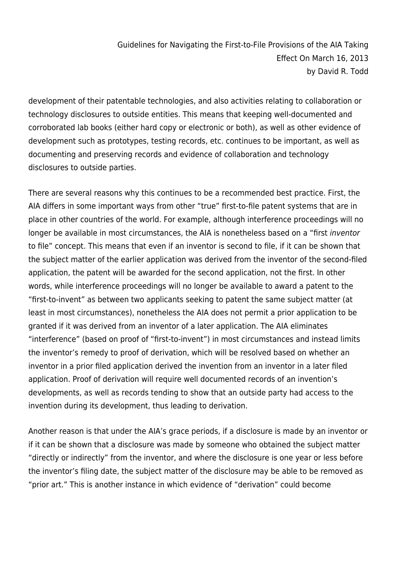development of their patentable technologies, and also activities relating to collaboration or technology disclosures to outside entities. This means that keeping well-documented and corroborated lab books (either hard copy or electronic or both), as well as other evidence of development such as prototypes, testing records, etc. continues to be important, as well as documenting and preserving records and evidence of collaboration and technology disclosures to outside parties.

There are several reasons why this continues to be a recommended best practice. First, the AIA differs in some important ways from other "true" first-to-file patent systems that are in place in other countries of the world. For example, although interference proceedings will no longer be available in most circumstances, the AIA is nonetheless based on a "first inventor to file" concept. This means that even if an inventor is second to file, if it can be shown that the subject matter of the earlier application was derived from the inventor of the second-filed application, the patent will be awarded for the second application, not the first. In other words, while interference proceedings will no longer be available to award a patent to the "first-to-invent" as between two applicants seeking to patent the same subject matter (at least in most circumstances), nonetheless the AIA does not permit a prior application to be granted if it was derived from an inventor of a later application. The AIA eliminates "interference" (based on proof of "first-to-invent") in most circumstances and instead limits the inventor's remedy to proof of derivation, which will be resolved based on whether an inventor in a prior filed application derived the invention from an inventor in a later filed application. Proof of derivation will require well documented records of an invention's developments, as well as records tending to show that an outside party had access to the invention during its development, thus leading to derivation.

Another reason is that under the AIA's grace periods, if a disclosure is made by an inventor or if it can be shown that a disclosure was made by someone who obtained the subject matter "directly or indirectly" from the inventor, and where the disclosure is one year or less before the inventor's filing date, the subject matter of the disclosure may be able to be removed as "prior art." This is another instance in which evidence of "derivation" could become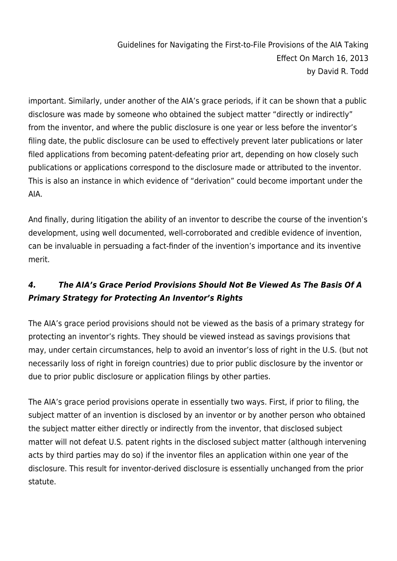important. Similarly, under another of the AIA's grace periods, if it can be shown that a public disclosure was made by someone who obtained the subject matter "directly or indirectly" from the inventor, and where the public disclosure is one year or less before the inventor's filing date, the public disclosure can be used to effectively prevent later publications or later filed applications from becoming patent-defeating prior art, depending on how closely such publications or applications correspond to the disclosure made or attributed to the inventor. This is also an instance in which evidence of "derivation" could become important under the AIA.

And finally, during litigation the ability of an inventor to describe the course of the invention's development, using well documented, well-corroborated and credible evidence of invention, can be invaluable in persuading a fact-finder of the invention's importance and its inventive merit.

# *4. The AIA's Grace Period Provisions Should Not Be Viewed As The Basis Of A Primary Strategy for Protecting An Inventor's Rights*

The AIA's grace period provisions should not be viewed as the basis of a primary strategy for protecting an inventor's rights. They should be viewed instead as savings provisions that may, under certain circumstances, help to avoid an inventor's loss of right in the U.S. (but not necessarily loss of right in foreign countries) due to prior public disclosure by the inventor or due to prior public disclosure or application filings by other parties.

The AIA's grace period provisions operate in essentially two ways. First, if prior to filing, the subject matter of an invention is disclosed by an inventor or by another person who obtained the subject matter either directly or indirectly from the inventor, that disclosed subject matter will not defeat U.S. patent rights in the disclosed subject matter (although intervening acts by third parties may do so) if the inventor files an application within one year of the disclosure. This result for inventor-derived disclosure is essentially unchanged from the prior statute.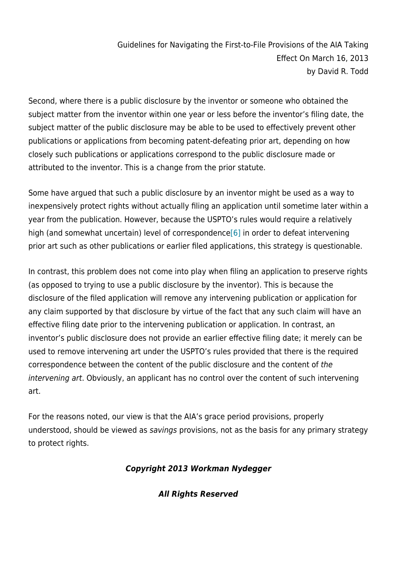Second, where there is a public disclosure by the inventor or someone who obtained the subject matter from the inventor within one year or less before the inventor's filing date, the subject matter of the public disclosure may be able to be used to effectively prevent other publications or applications from becoming patent-defeating prior art, depending on how closely such publications or applications correspond to the public disclosure made or attributed to the inventor. This is a change from the prior statute.

Some have argued that such a public disclosure by an inventor might be used as a way to inexpensively protect rights without actually filing an application until sometime later within a year from the publication. However, because the USPTO's rules would require a relatively high (and somewhat uncertain) level of correspondence  $[6]$  in order to defeat intervening prior art such as other publications or earlier filed applications, this strategy is questionable.

In contrast, this problem does not come into play when filing an application to preserve rights (as opposed to trying to use a public disclosure by the inventor). This is because the disclosure of the filed application will remove any intervening publication or application for any claim supported by that disclosure by virtue of the fact that any such claim will have an effective filing date prior to the intervening publication or application. In contrast, an inventor's public disclosure does not provide an earlier effective filing date; it merely can be used to remove intervening art under the USPTO's rules provided that there is the required correspondence between the content of the public disclosure and the content of the intervening art. Obviously, an applicant has no control over the content of such intervening art.

For the reasons noted, our view is that the AIA's grace period provisions, properly understood, should be viewed as savings provisions, not as the basis for any primary strategy to protect rights.

#### *Copyright 2013 Workman Nydegger*

*All Rights Reserved*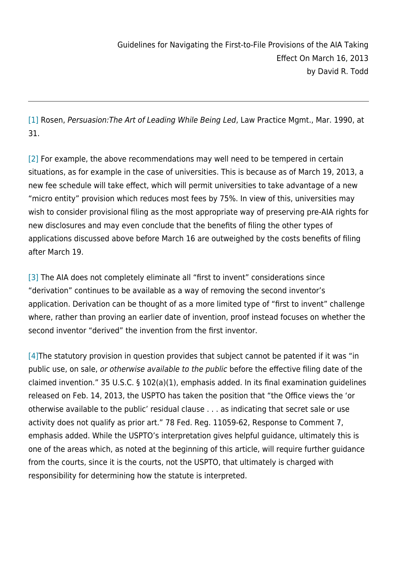[\[1\]](http://www.wnlaw.com/ip-law-news/guidelines-for-navigating-the-first-to-file-provisions-of-the-aia-taking-effect-on-march-16-2013/#_ftnref1) Rosen, Persuasion:The Art of Leading While Being Led, Law Practice Mgmt., Mar. 1990, at 31.

[\[2\]](http://www.wnlaw.com/ip-law-news/guidelines-for-navigating-the-first-to-file-provisions-of-the-aia-taking-effect-on-march-16-2013/#_ftnref2) For example, the above recommendations may well need to be tempered in certain situations, as for example in the case of universities. This is because as of March 19, 2013, a new fee schedule will take effect, which will permit universities to take advantage of a new "micro entity" provision which reduces most fees by 75%. In view of this, universities may wish to consider provisional filing as the most appropriate way of preserving pre-AIA rights for new disclosures and may even conclude that the benefits of filing the other types of applications discussed above before March 16 are outweighed by the costs benefits of filing after March 19.

[\[3\]](http://www.wnlaw.com/ip-law-news/guidelines-for-navigating-the-first-to-file-provisions-of-the-aia-taking-effect-on-march-16-2013/#_ftnref3) The AIA does not completely eliminate all "first to invent" considerations since "derivation" continues to be available as a way of removing the second inventor's application. Derivation can be thought of as a more limited type of "first to invent" challenge where, rather than proving an earlier date of invention, proof instead focuses on whether the second inventor "derived" the invention from the first inventor.

[4] The statutory provision in question provides that subject cannot be patented if it was "in public use, on sale, or otherwise available to the public before the effective filing date of the claimed invention." 35 U.S.C. § 102(a)(1), emphasis added. In its final examination guidelines released on Feb. 14, 2013, the USPTO has taken the position that "the Office views the 'or otherwise available to the public' residual clause . . . as indicating that secret sale or use activity does not qualify as prior art." 78 Fed. Reg. 11059-62, Response to Comment 7, emphasis added. While the USPTO's interpretation gives helpful guidance, ultimately this is one of the areas which, as noted at the beginning of this article, will require further guidance from the courts, since it is the courts, not the USPTO, that ultimately is charged with responsibility for determining how the statute is interpreted.